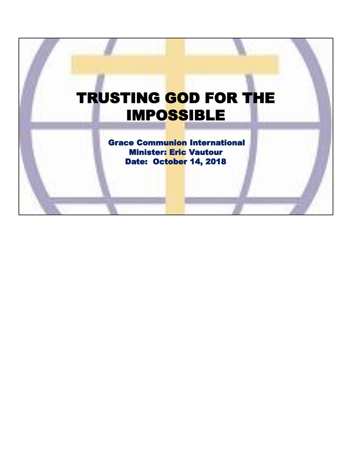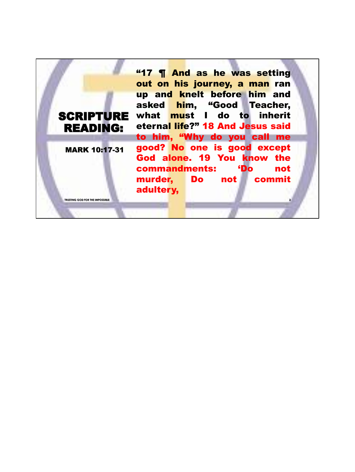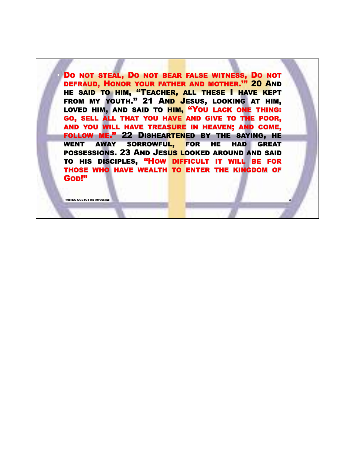DO NOT STEAL, DO NOT BEAR FALSE WITNESS, DO NOT DEFRAUD, HONOR YOUR FATHER AND MOTHER.'" 20 AND HE SAID TO HIM, "TEACHER, ALL THESE I HAVE KEPT FROM MY YOUTH." 21 AND JESUS, LOOKING AT HIM, LOVED HIM, AND SAID TO HIM, "YOU LACK ONE THING: GO, SELL ALL THAT YOU HAVE AND GIVE TO THE POOR, AND YOU WILL HAVE TREASURE IN HEAVEN; AND COME, FOLLOW ME." 22 DISHEARTENED BY THE SAYING, HE WENT AWAY SORROWFUL, FOR HE HAD GREAT POSSESSIONS. 23 AND JESUS LOOKED AROUND AND SAID TO HIS DISCIPLES, "HOW DIFFICULT IT WILL BE FOR THOSE WHO HAVE WEALTH TO ENTER THE KINGDOM OF GOD!"

**3**

**TRUSTING GOD FOR THE IMPOSSIBLE**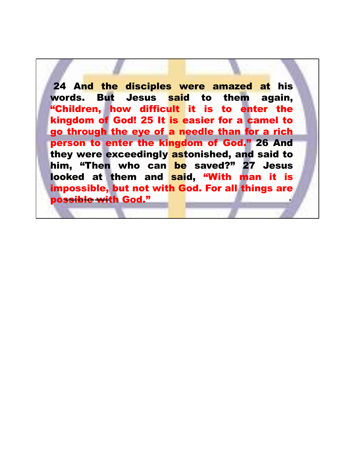**4** 24 And the disciples were amazed at his words. But Jesus said to them again, "Children, how difficult it is to enter the kingdom of God! 25 It is easier for a camel to go through the eye of a needle than for a rich person to enter the kingdom of God." 26 And they were exceedingly astonished, and said to him, "Then who can be saved?" 27 Jesus looked at them and said, "With man it is impossible, but not with God. For all things are possible with God."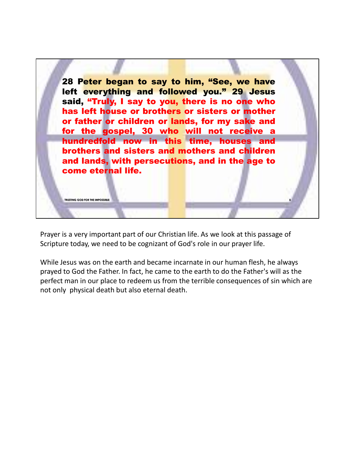

Prayer is a very important part of our Christian life. As we look at this passage of Scripture today, we need to be cognizant of God's role in our prayer life.

While Jesus was on the earth and became incarnate in our human flesh, he always prayed to God the Father. In fact, he came to the earth to do the Father's will as the perfect man in our place to redeem us from the terrible consequences of sin which are not only physical death but also eternal death.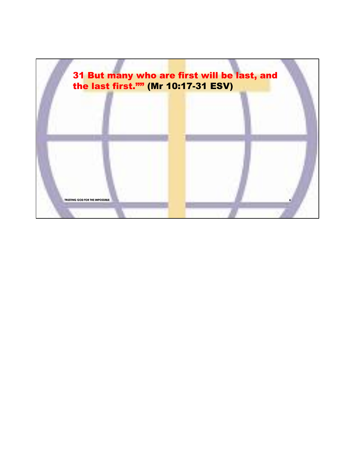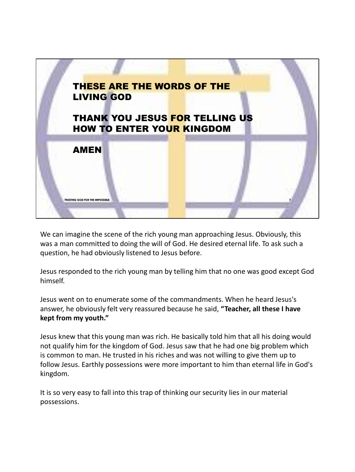

We can imagine the scene of the rich young man approaching Jesus. Obviously, this was a man committed to doing the will of God. He desired eternal life. To ask such a question, he had obviously listened to Jesus before.

Jesus responded to the rich young man by telling him that no one was good except God himself.

Jesus went on to enumerate some of the commandments. When he heard Jesus's answer, he obviously felt very reassured because he said, **"Teacher, all these I have kept from my youth."**

Jesus knew that this young man was rich. He basically told him that all his doing would not qualify him for the kingdom of God. Jesus saw that he had one big problem which is common to man. He trusted in his riches and was not willing to give them up to follow Jesus. Earthly possessions were more important to him than eternal life in God's kingdom.

It is so very easy to fall into this trap of thinking our security lies in our material possessions.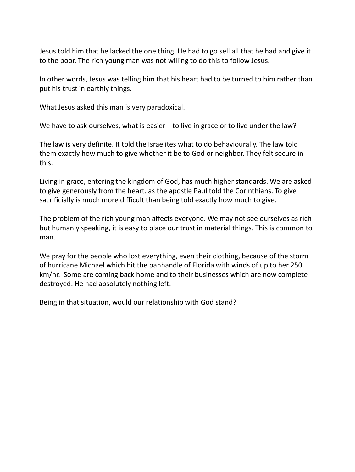Jesus told him that he lacked the one thing. He had to go sell all that he had and give it to the poor. The rich young man was not willing to do this to follow Jesus.

In other words, Jesus was telling him that his heart had to be turned to him rather than put his trust in earthly things.

What Jesus asked this man is very paradoxical.

We have to ask ourselves, what is easier—to live in grace or to live under the law?

The law is very definite. It told the Israelites what to do behaviourally. The law told them exactly how much to give whether it be to God or neighbor. They felt secure in this.

Living in grace, entering the kingdom of God, has much higher standards. We are asked to give generously from the heart. as the apostle Paul told the Corinthians. To give sacrificially is much more difficult than being told exactly how much to give.

The problem of the rich young man affects everyone. We may not see ourselves as rich but humanly speaking, it is easy to place our trust in material things. This is common to man.

We pray for the people who lost everything, even their clothing, because of the storm of hurricane Michael which hit the panhandle of Florida with winds of up to her 250 km/hr. Some are coming back home and to their businesses which are now complete destroyed. He had absolutely nothing left.

Being in that situation, would our relationship with God stand?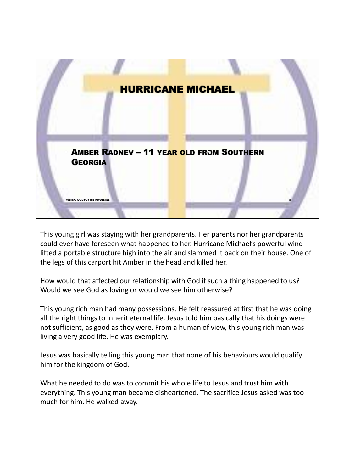

This young girl was staying with her grandparents. Her parents nor her grandparents could ever have foreseen what happened to her. Hurricane Michael's powerful wind lifted a portable structure high into the air and slammed it back on their house. One of the legs of this carport hit Amber in the head and killed her.

How would that affected our relationship with God if such a thing happened to us? Would we see God as loving or would we see him otherwise?

This young rich man had many possessions. He felt reassured at first that he was doing all the right things to inherit eternal life. Jesus told him basically that his doings were not sufficient, as good as they were. From a human of view, this young rich man was living a very good life. He was exemplary.

Jesus was basically telling this young man that none of his behaviours would qualify him for the kingdom of God.

What he needed to do was to commit his whole life to Jesus and trust him with everything. This young man became disheartened. The sacrifice Jesus asked was too much for him. He walked away.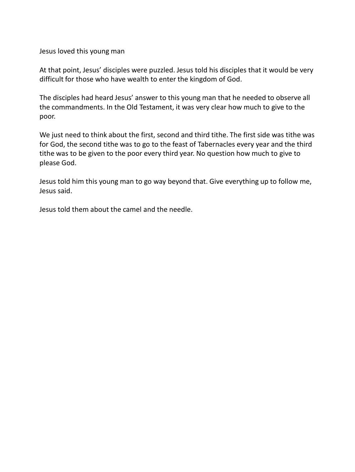Jesus loved this young man

At that point, Jesus' disciples were puzzled. Jesus told his disciples that it would be very difficult for those who have wealth to enter the kingdom of God.

The disciples had heard Jesus' answer to this young man that he needed to observe all the commandments. In the Old Testament, it was very clear how much to give to the poor.

We just need to think about the first, second and third tithe. The first side was tithe was for God, the second tithe was to go to the feast of Tabernacles every year and the third tithe was to be given to the poor every third year. No question how much to give to please God.

Jesus told him this young man to go way beyond that. Give everything up to follow me, Jesus said.

Jesus told them about the camel and the needle.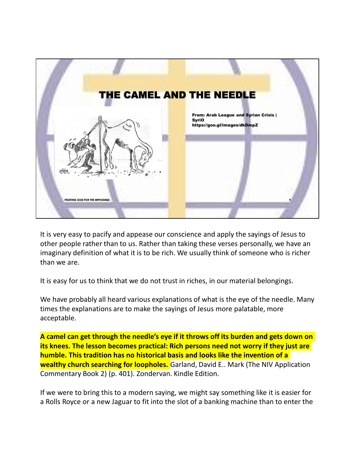

It is very easy to pacify and appease our conscience and apply the sayings of Jesus to other people rather than to us. Rather than taking these verses personally, we have an imaginary definition of what it is to be rich. We usually think of someone who is richer than we are.

It is easy for us to think that we do not trust in riches, in our material belongings.

We have probably all heard various explanations of what is the eye of the needle. Many times the explanations are to make the sayings of Jesus more palatable, more acceptable.

**A camel can get through the needle's eye if it throws off its burden and gets down on its knees. The lesson becomes practical: Rich persons need not worry if they just are humble. This tradition has no historical basis and looks like the invention of a wealthy church searching for loopholes.** Garland, David E.. Mark (The NIV Application Commentary Book 2) (p. 401). Zondervan. Kindle Edition.

If we were to bring this to a modern saying, we might say something like it is easier for a Rolls Royce or a new Jaguar to fit into the slot of a banking machine than to enter the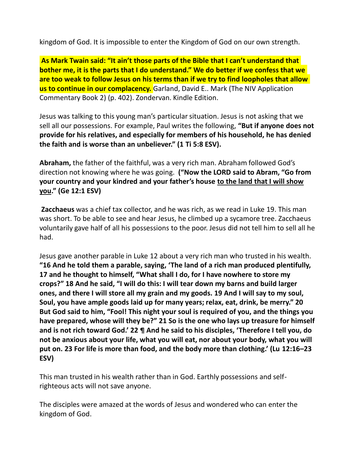kingdom of God. It is impossible to enter the Kingdom of God on our own strength.

**As Mark Twain said: "It ain't those parts of the Bible that I can't understand that bother me, it is the parts that I do understand." We do better if we confess that we are too weak to follow Jesus on his terms than if we try to find loopholes that allow us to continue in our complacency.** Garland, David E.. Mark (The NIV Application Commentary Book 2) (p. 402). Zondervan. Kindle Edition.

Jesus was talking to this young man's particular situation. Jesus is not asking that we sell all our possessions. For example, Paul writes the following, **"But if anyone does not provide for his relatives, and especially for members of his household, he has denied the faith and is worse than an unbeliever." (1 Ti 5:8 ESV).**

**Abraham,** the father of the faithful, was a very rich man. Abraham followed God's direction not knowing where he was going. **("Now the LORD said to Abram, "Go from your country and your kindred and your father's house to the land that I will show you." (Ge 12:1 ESV)**

**Zacchaeus** was a chief tax collector, and he was rich, as we read in Luke 19. This man was short. To be able to see and hear Jesus, he climbed up a sycamore tree. Zacchaeus voluntarily gave half of all his possessions to the poor. Jesus did not tell him to sell all he had.

Jesus gave another parable in Luke 12 about a very rich man who trusted in his wealth. **"16 And he told them a parable, saying, 'The land of a rich man produced plentifully, 17 and he thought to himself, "What shall I do, for I have nowhere to store my crops?" 18 And he said, "I will do this: I will tear down my barns and build larger ones, and there I will store all my grain and my goods. 19 And I will say to my soul, Soul, you have ample goods laid up for many years; relax, eat, drink, be merry." 20 But God said to him, "Fool! This night your soul is required of you, and the things you have prepared, whose will they be?" 21 So is the one who lays up treasure for himself and is not rich toward God.' 22 ¶ And he said to his disciples, 'Therefore I tell you, do not be anxious about your life, what you will eat, nor about your body, what you will put on. 23 For life is more than food, and the body more than clothing.' (Lu 12:16–23 ESV)**

This man trusted in his wealth rather than in God. Earthly possessions and selfrighteous acts will not save anyone.

The disciples were amazed at the words of Jesus and wondered who can enter the kingdom of God.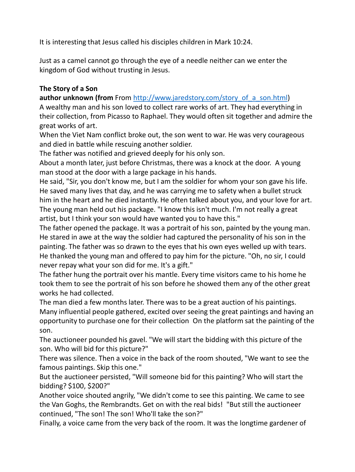It is interesting that Jesus called his disciples children in Mark 10:24.

Just as a camel cannot go through the eye of a needle neither can we enter the kingdom of God without trusting in Jesus.

## **The Story of a Son**

**author unknown (from From http://www.jaredstory.com/story\_of\_a\_son.html)** 

A wealthy man and his son loved to collect rare works of art. They had everything in their collection, from Picasso to Raphael. They would often sit together and admire the great works of art.

When the Viet Nam conflict broke out, the son went to war. He was very courageous and died in battle while rescuing another soldier.

The father was notified and grieved deeply for his only son.

About a month later, just before Christmas, there was a knock at the door. A young man stood at the door with a large package in his hands.

He said, "Sir, you don't know me, but I am the soldier for whom your son gave his life. He saved many lives that day, and he was carrying me to safety when a bullet struck him in the heart and he died instantly. He often talked about you, and your love for art. The young man held out his package. "I know this isn't much. I'm not really a great artist, but I think your son would have wanted you to have this."

The father opened the package. It was a portrait of his son, painted by the young man. He stared in awe at the way the soldier had captured the personality of his son in the painting. The father was so drawn to the eyes that his own eyes welled up with tears. He thanked the young man and offered to pay him for the picture. "Oh, no sir, I could never repay what your son did for me. It's a gift."

The father hung the portrait over his mantle. Every time visitors came to his home he took them to see the portrait of his son before he showed them any of the other great works he had collected.

The man died a few months later. There was to be a great auction of his paintings. Many influential people gathered, excited over seeing the great paintings and having an opportunity to purchase one for their collection On the platform sat the painting of the son.

The auctioneer pounded his gavel. "We will start the bidding with this picture of the son. Who will bid for this picture?"

There was silence. Then a voice in the back of the room shouted, "We want to see the famous paintings. Skip this one."

But the auctioneer persisted, "Will someone bid for this painting? Who will start the bidding? \$100, \$200?"

Another voice shouted angrily, "We didn't come to see this painting. We came to see the Van Goghs, the Rembrandts. Get on with the real bids! "But still the auctioneer continued, "The son! The son! Who'll take the son?"

Finally, a voice came from the very back of the room. It was the longtime gardener of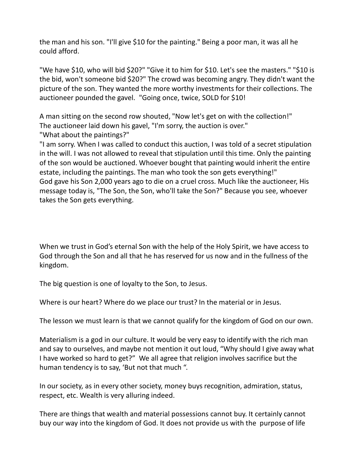the man and his son. "I'll give \$10 for the painting." Being a poor man, it was all he could afford.

"We have \$10, who will bid \$20?" "Give it to him for \$10. Let's see the masters." "\$10 is the bid, won't someone bid \$20?" The crowd was becoming angry. They didn't want the picture of the son. They wanted the more worthy investments for their collections. The auctioneer pounded the gavel. "Going once, twice, SOLD for \$10!

A man sitting on the second row shouted, "Now let's get on with the collection!" The auctioneer laid down his gavel, "I'm sorry, the auction is over." "What about the paintings?"

"I am sorry. When I was called to conduct this auction, I was told of a secret stipulation in the will. I was not allowed to reveal that stipulation until this time. Only the painting of the son would be auctioned. Whoever bought that painting would inherit the entire estate, including the paintings. The man who took the son gets everything!" God gave his Son 2,000 years ago to die on a cruel cross. Much like the auctioneer, His message today is, "The Son, the Son, who'll take the Son?" Because you see, whoever takes the Son gets everything.

When we trust in God's eternal Son with the help of the Holy Spirit, we have access to God through the Son and all that he has reserved for us now and in the fullness of the kingdom.

The big question is one of loyalty to the Son, to Jesus.

Where is our heart? Where do we place our trust? In the material or in Jesus.

The lesson we must learn is that we cannot qualify for the kingdom of God on our own.

Materialism is a god in our culture. It would be very easy to identify with the rich man and say to ourselves, and maybe not mention it out loud, "Why should I give away what I have worked so hard to get?" We all agree that religion involves sacrifice but the human tendency is to say, 'But not that much ".

In our society, as in every other society, money buys recognition, admiration, status, respect, etc. Wealth is very alluring indeed.

There are things that wealth and material possessions cannot buy. It certainly cannot buy our way into the kingdom of God. It does not provide us with the purpose of life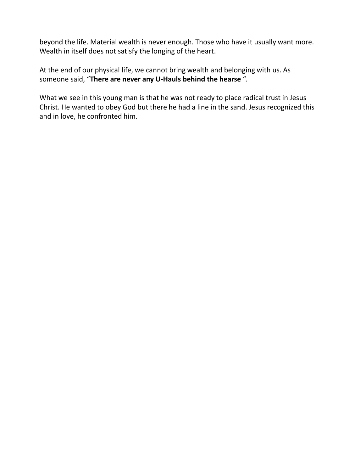beyond the life. Material wealth is never enough. Those who have it usually want more. Wealth in itself does not satisfy the longing of the heart.

At the end of our physical life, we cannot bring wealth and belonging with us. As someone said, "**There are never any U-Hauls behind the hearse** ".

What we see in this young man is that he was not ready to place radical trust in Jesus Christ. He wanted to obey God but there he had a line in the sand. Jesus recognized this and in love, he confronted him.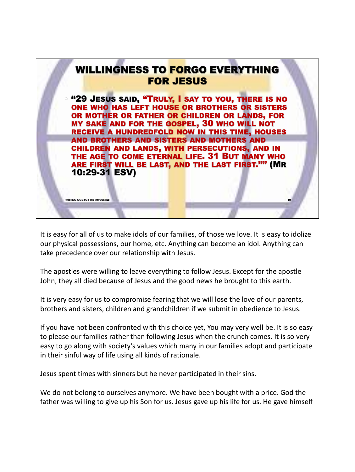

It is easy for all of us to make idols of our families, of those we love. It is easy to idolize our physical possessions, our home, etc. Anything can become an idol. Anything can take precedence over our relationship with Jesus.

The apostles were willing to leave everything to follow Jesus. Except for the apostle John, they all died because of Jesus and the good news he brought to this earth.

It is very easy for us to compromise fearing that we will lose the love of our parents, brothers and sisters, children and grandchildren if we submit in obedience to Jesus.

If you have not been confronted with this choice yet, You may very well be. It is so easy to please our families rather than following Jesus when the crunch comes. It is so very easy to go along with society's values which many in our families adopt and participate in their sinful way of life using all kinds of rationale.

Jesus spent times with sinners but he never participated in their sins.

We do not belong to ourselves anymore. We have been bought with a price. God the father was willing to give up his Son for us. Jesus gave up his life for us. He gave himself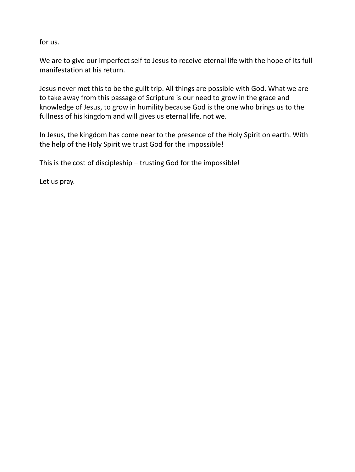for us.

We are to give our imperfect self to Jesus to receive eternal life with the hope of its full manifestation at his return.

Jesus never met this to be the guilt trip. All things are possible with God. What we are to take away from this passage of Scripture is our need to grow in the grace and knowledge of Jesus, to grow in humility because God is the one who brings us to the fullness of his kingdom and will gives us eternal life, not we.

In Jesus, the kingdom has come near to the presence of the Holy Spirit on earth. With the help of the Holy Spirit we trust God for the impossible!

This is the cost of discipleship – trusting God for the impossible!

Let us pray.